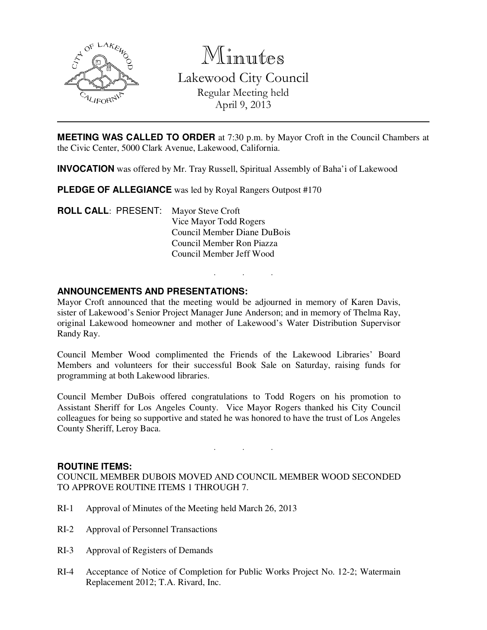

Minutes Lakewood City Council Regular Meeting held April 9, 2013

**MEETING WAS CALLED TO ORDER** at 7:30 p.m. by Mayor Croft in the Council Chambers at the Civic Center, 5000 Clark Avenue, Lakewood, California.

**INVOCATION** was offered by Mr. Tray Russell, Spiritual Assembly of Baha'i of Lakewood

**PLEDGE OF ALLEGIANCE** was led by Royal Rangers Outpost #170

**ROLL CALL**: PRESENT: Mayor Steve Croft Vice Mayor Todd Rogers Council Member Diane DuBois Council Member Ron Piazza Council Member Jeff Wood

## **ANNOUNCEMENTS AND PRESENTATIONS:**

Mayor Croft announced that the meeting would be adjourned in memory of Karen Davis, sister of Lakewood's Senior Project Manager June Anderson; and in memory of Thelma Ray, original Lakewood homeowner and mother of Lakewood's Water Distribution Supervisor Randy Ray.

. . .

Council Member Wood complimented the Friends of the Lakewood Libraries' Board Members and volunteers for their successful Book Sale on Saturday, raising funds for programming at both Lakewood libraries.

Council Member DuBois offered congratulations to Todd Rogers on his promotion to Assistant Sheriff for Los Angeles County. Vice Mayor Rogers thanked his City Council colleagues for being so supportive and stated he was honored to have the trust of Los Angeles County Sheriff, Leroy Baca.

#### **ROUTINE ITEMS:**

COUNCIL MEMBER DUBOIS MOVED AND COUNCIL MEMBER WOOD SECONDED TO APPROVE ROUTINE ITEMS 1 THROUGH 7.

. . .

- RI-1 Approval of Minutes of the Meeting held March 26, 2013
- RI-2 Approval of Personnel Transactions
- RI-3 Approval of Registers of Demands
- RI-4 Acceptance of Notice of Completion for Public Works Project No. 12-2; Watermain Replacement 2012; T.A. Rivard, Inc.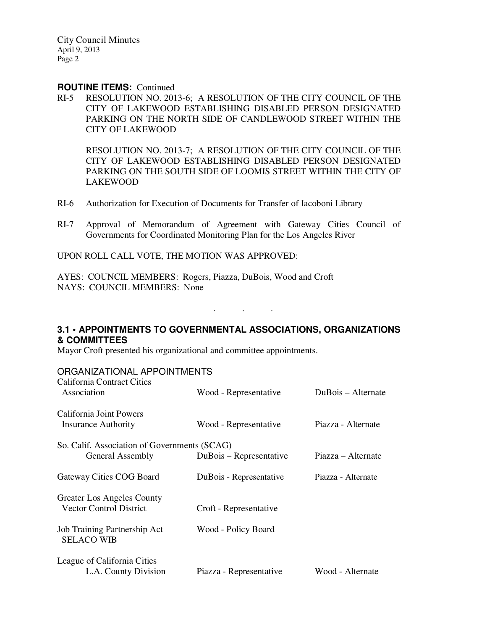City Council Minutes April 9, 2013 Page 2

## **ROUTINE ITEMS:** Continued

RI-5 RESOLUTION NO. 2013-6; A RESOLUTION OF THE CITY COUNCIL OF THE CITY OF LAKEWOOD ESTABLISHING DISABLED PERSON DESIGNATED PARKING ON THE NORTH SIDE OF CANDLEWOOD STREET WITHIN THE CITY OF LAKEWOOD

 RESOLUTION NO. 2013-7; A RESOLUTION OF THE CITY COUNCIL OF THE CITY OF LAKEWOOD ESTABLISHING DISABLED PERSON DESIGNATED PARKING ON THE SOUTH SIDE OF LOOMIS STREET WITHIN THE CITY OF LAKEWOOD

- RI-6 Authorization for Execution of Documents for Transfer of Iacoboni Library
- RI-7 Approval of Memorandum of Agreement with Gateway Cities Council of Governments for Coordinated Monitoring Plan for the Los Angeles River

UPON ROLL CALL VOTE, THE MOTION WAS APPROVED:

AYES: COUNCIL MEMBERS: Rogers, Piazza, DuBois, Wood and Croft NAYS: COUNCIL MEMBERS: None

# **3.1 • APPOINTMENTS TO GOVERNMENTAL ASSOCIATIONS, ORGANIZATIONS & COMMITTEES**

. . .

Mayor Croft presented his organizational and committee appointments.

ORGANIZATIONAL APPOINTMENTS

| California Contract Cities<br>Association                        | Wood - Representative   | DuBois – Alternate |
|------------------------------------------------------------------|-------------------------|--------------------|
| California Joint Powers<br><b>Insurance Authority</b>            | Wood - Representative   | Piazza - Alternate |
| So. Calif. Association of Governments (SCAG)<br>General Assembly | DuBois – Representative | Piazza – Alternate |
| Gateway Cities COG Board                                         | DuBois - Representative | Piazza - Alternate |
| Greater Los Angeles County<br><b>Vector Control District</b>     | Croft - Representative  |                    |
| Job Training Partnership Act<br><b>SELACO WIB</b>                | Wood - Policy Board     |                    |
| League of California Cities<br>L.A. County Division              | Piazza - Representative | Wood - Alternate   |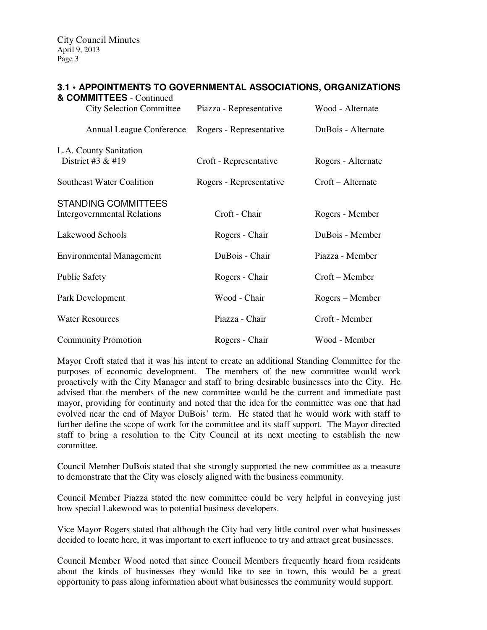City Council Minutes April 9, 2013 Page 3

| 3.1 • APPOINTMENTS TO GOVERNMENTAL ASSOCIATIONS, ORGANIZATION<br>& COMMITTEES - Continued |                         |                    |  |
|-------------------------------------------------------------------------------------------|-------------------------|--------------------|--|
| <b>City Selection Committee</b>                                                           | Piazza - Representative | Wood - Alternate   |  |
| <b>Annual League Conference</b>                                                           | Rogers - Representative | DuBois - Alternate |  |
| L.A. County Sanitation<br>District #3 $&$ #19                                             | Croft - Representative  | Rogers - Alternate |  |
| <b>Southeast Water Coalition</b>                                                          | Rogers - Representative | Croft – Alternate  |  |
| <b>STANDING COMMITTEES</b><br><b>Intergovernmental Relations</b>                          | Croft - Chair           | Rogers - Member    |  |
| Lakewood Schools                                                                          | Rogers - Chair          | DuBois - Member    |  |
| <b>Environmental Management</b>                                                           | DuBois - Chair          | Piazza - Member    |  |
| <b>Public Safety</b>                                                                      | Rogers - Chair          | Croft – Member     |  |
| Park Development                                                                          | Wood - Chair            | Rogers – Member    |  |
| <b>Water Resources</b>                                                                    | Piazza - Chair          | Croft - Member     |  |
| <b>Community Promotion</b>                                                                | Rogers - Chair          | Wood - Member      |  |

# **TMENTS TO GOVERNMENTAL ASSOCIATIONS, ORGANIZATIONS**

Mayor Croft stated that it was his intent to create an additional Standing Committee for the purposes of economic development. The members of the new committee would work proactively with the City Manager and staff to bring desirable businesses into the City. He advised that the members of the new committee would be the current and immediate past mayor, providing for continuity and noted that the idea for the committee was one that had evolved near the end of Mayor DuBois' term. He stated that he would work with staff to further define the scope of work for the committee and its staff support. The Mayor directed staff to bring a resolution to the City Council at its next meeting to establish the new committee.

Council Member DuBois stated that she strongly supported the new committee as a measure to demonstrate that the City was closely aligned with the business community.

Council Member Piazza stated the new committee could be very helpful in conveying just how special Lakewood was to potential business developers.

Vice Mayor Rogers stated that although the City had very little control over what businesses decided to locate here, it was important to exert influence to try and attract great businesses.

Council Member Wood noted that since Council Members frequently heard from residents about the kinds of businesses they would like to see in town, this would be a great opportunity to pass along information about what businesses the community would support.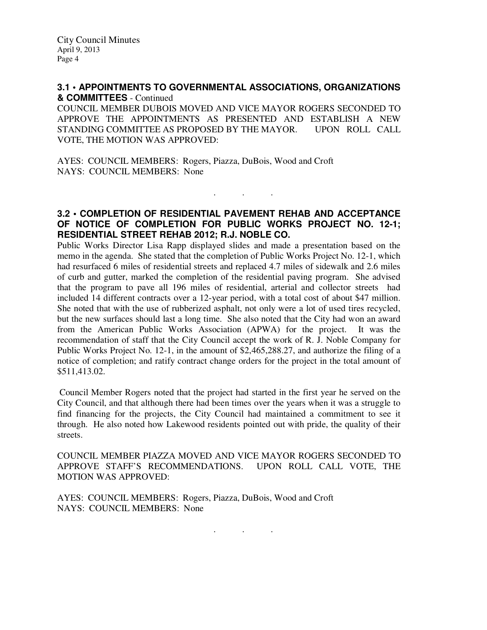## **3.1 • APPOINTMENTS TO GOVERNMENTAL ASSOCIATIONS, ORGANIZATIONS & COMMITTEES** - Continued

COUNCIL MEMBER DUBOIS MOVED AND VICE MAYOR ROGERS SECONDED TO APPROVE THE APPOINTMENTS AS PRESENTED AND ESTABLISH A NEW STANDING COMMITTEE AS PROPOSED BY THE MAYOR. UPON ROLL CALL VOTE, THE MOTION WAS APPROVED:

AYES: COUNCIL MEMBERS: Rogers, Piazza, DuBois, Wood and Croft NAYS: COUNCIL MEMBERS: None

## **3.2 • COMPLETION OF RESIDENTIAL PAVEMENT REHAB AND ACCEPTANCE OF NOTICE OF COMPLETION FOR PUBLIC WORKS PROJECT NO. 12-1; RESIDENTIAL STREET REHAB 2012; R.J. NOBLE CO.**

. . .

Public Works Director Lisa Rapp displayed slides and made a presentation based on the memo in the agenda. She stated that the completion of Public Works Project No. 12-1, which had resurfaced 6 miles of residential streets and replaced 4.7 miles of sidewalk and 2.6 miles of curb and gutter, marked the completion of the residential paving program. She advised that the program to pave all 196 miles of residential, arterial and collector streets had included 14 different contracts over a 12-year period, with a total cost of about \$47 million. She noted that with the use of rubberized asphalt, not only were a lot of used tires recycled, but the new surfaces should last a long time. She also noted that the City had won an award from the American Public Works Association (APWA) for the project. It was the recommendation of staff that the City Council accept the work of R. J. Noble Company for Public Works Project No. 12-1, in the amount of \$2,465,288.27, and authorize the filing of a notice of completion; and ratify contract change orders for the project in the total amount of \$511,413.02.

 Council Member Rogers noted that the project had started in the first year he served on the City Council, and that although there had been times over the years when it was a struggle to find financing for the projects, the City Council had maintained a commitment to see it through. He also noted how Lakewood residents pointed out with pride, the quality of their streets.

COUNCIL MEMBER PIAZZA MOVED AND VICE MAYOR ROGERS SECONDED TO APPROVE STAFF'S RECOMMENDATIONS. UPON ROLL CALL VOTE, THE MOTION WAS APPROVED:

AYES: COUNCIL MEMBERS: Rogers, Piazza, DuBois, Wood and Croft NAYS: COUNCIL MEMBERS: None

. . .